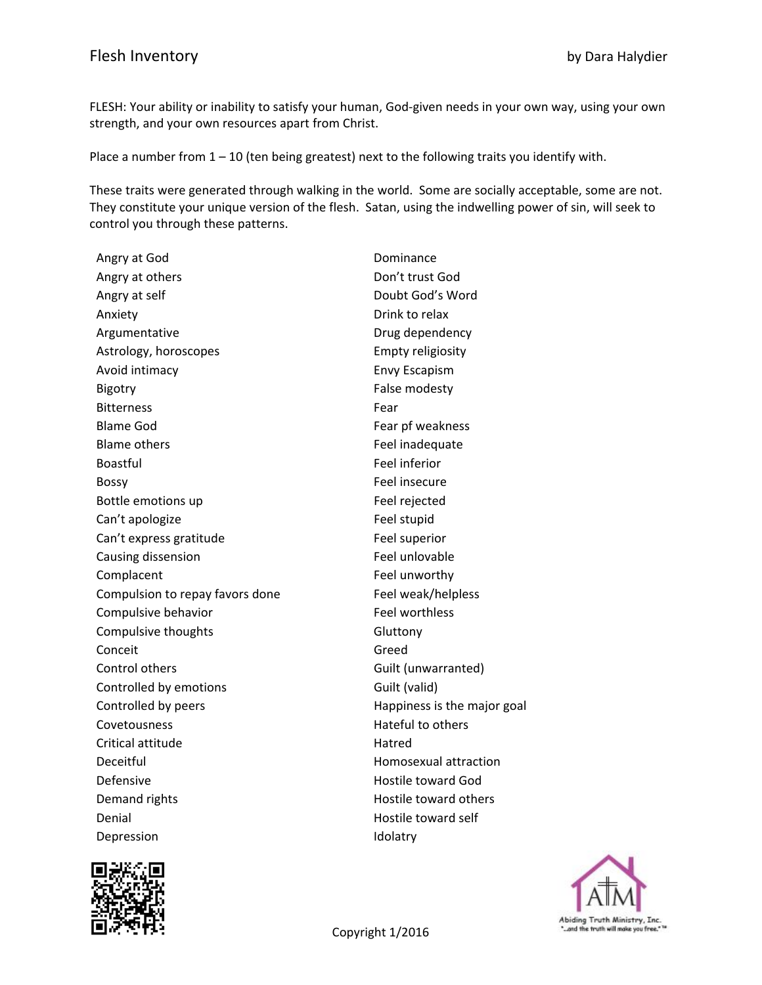FLESH: Your ability or inability to satisfy your human, God‐given needs in your own way, using your own strength, and your own resources apart from Christ.

Place a number from  $1 - 10$  (ten being greatest) next to the following traits you identify with.

These traits were generated through walking in the world. Some are socially acceptable, some are not. They constitute your unique version of the flesh. Satan, using the indwelling power of sin, will seek to control you through these patterns.

| Angry at God                    | Dominance                   |
|---------------------------------|-----------------------------|
| Angry at others                 | Don't trust God             |
| Angry at self                   | Doubt God's Word            |
| Anxiety                         | Drink to relax              |
| Argumentative                   | Drug dependency             |
| Astrology, horoscopes           | <b>Empty religiosity</b>    |
| Avoid intimacy                  | <b>Envy Escapism</b>        |
| <b>Bigotry</b>                  | False modesty               |
| <b>Bitterness</b>               | Fear                        |
| <b>Blame God</b>                | Fear pf weakness            |
| <b>Blame others</b>             | Feel inadequate             |
| Boastful                        | Feel inferior               |
| <b>Bossy</b>                    | Feel insecure               |
| Bottle emotions up              | Feel rejected               |
| Can't apologize                 | Feel stupid                 |
| Can't express gratitude         | Feel superior               |
| Causing dissension              | Feel unlovable              |
| Complacent                      | Feel unworthy               |
| Compulsion to repay favors done | Feel weak/helpless          |
| Compulsive behavior             | <b>Feel worthless</b>       |
| Compulsive thoughts             | Gluttony                    |
| Conceit                         | Greed                       |
| Control others                  | Guilt (unwarranted)         |
| Controlled by emotions          | Guilt (valid)               |
| Controlled by peers             | Happiness is the major goal |
| Covetousness                    | Hateful to others           |
| Critical attitude               | Hatred                      |
| Deceitful                       | Homosexual attraction       |
| Defensive                       | <b>Hostile toward God</b>   |
| Demand rights                   | Hostile toward others       |
| Denial                          | Hostile toward self         |
| Depression                      | Idolatry                    |
|                                 |                             |



Abiding Truth Ministry, Inc.<br>Copyright 1/2016 **Copyright 11**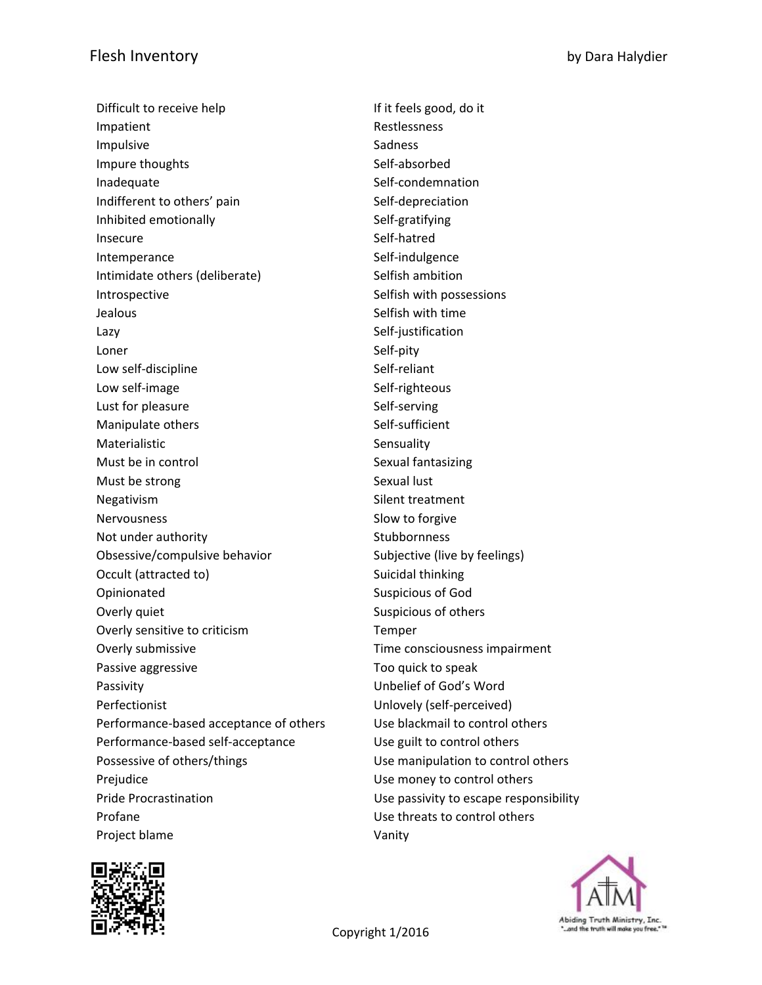Difficult to receive help If it feels good, do it Impatient **Allen Executive Contract Contract Contract Contract Contract Contract Contract Contract Contract Contract Contract Contract Contract Contract Contract Contract Contract Contract Contract Contract Contract Contra** Impulsive Sadness Impure thoughts Self-absorbed Inadequate Self-condemnation Indifferent to others' pain Self-depreciation Inhibited emotionally Self-gratifying Insecure Self-hatred Intemperance Self-indulgence Intimidate others (deliberate) Selfish ambition Introspective **Selfish with possessions Jealous** Selfish with time Lazy Self-justification Loner Self-pity Low self-discipline Self-reliant Low self-image Self-righteous Lust for pleasure Self-serving Manipulate others Self-sufficient Materialistic **Sensuality** Sensuality Must be in control Nust and Sexual fantasizing Must be strong and sexual lust Negativism Silent treatment Nervousness Slow to forgive Not under authority **Stubbornness** Obsessive/compulsive behavior Subjective (live by feelings) Occult (attracted to) Suicidal thinking Opinionated Suspicious of God Overly quiet **Suspicious of others** Suspicious of others Overly sensitive to criticism Temper Overly submissive Time consciousness impairment Passive aggressive Too quick to speak Passivity Unbelief of God's Word Perfectionist **Perfectionist** Unlovely (self-perceived) Performance-based acceptance of others Use blackmail to control others Performance-based self-acceptance Use guilt to control others Possessive of others/things The Muslim Use manipulation to control others Prejudice **Disk in the Use money to control others** Pride Procrastination Use passivity to escape responsibility Profane Use threats to control others Project blame Vanity